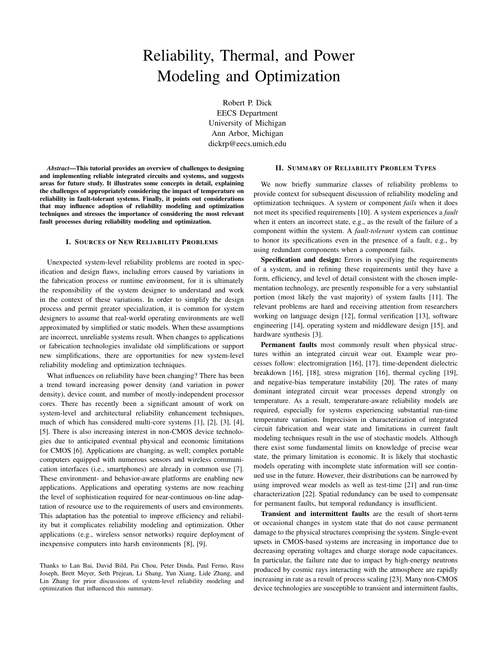# Reliability, Thermal, and Power Modeling and Optimization

Robert P. Dick EECS Department University of Michigan Ann Arbor, Michigan dickrp@eecs.umich.edu

*Abstract*—This tutorial provides an overview of challenges to designing and implementing reliable integrated circuits and systems, and suggests areas for future study. It illustrates some concepts in detail, explaining the challenges of appropriately considering the impact of temperature on reliability in fault-tolerant systems. Finally, it points out considerations that may influence adoption of reliability modeling and optimization techniques and stresses the importance of considering the most relevant fault processes during reliability modeling and optimization.

## I. SOURCES OF NEW RELIABILITY PROBLEMS

Unexpected system-level reliability problems are rooted in specification and design flaws, including errors caused by variations in the fabrication process or runtime environment, for it is ultimately the responsibility of the system designer to understand and work in the context of these variations. In order to simplify the design process and permit greater specialization, it is common for system designers to assume that real-world operating environments are well approximated by simplified or static models. When these assumptions are incorrect, unreliable systems result. When changes to applications or fabrication technologies invalidate old simplifications or support new simplifications, there are opportunities for new system-level reliability modeling and optimization techniques.

What influences on reliability have been changing? There has been a trend toward increasing power density (and variation in power density), device count, and number of mostly-independent processor cores. There has recently been a significant amount of work on system-level and architectural reliability enhancement techniques, much of which has considered multi-core systems [1], [2], [3], [4], [5]. There is also increasing interest in non-CMOS device technologies due to anticipated eventual physical and economic limitations for CMOS [6]. Applications are changing, as well; complex portable computers equipped with numerous sensors and wireless communication interfaces (i.e., smartphones) are already in common use [7]. These environment- and behavior-aware platforms are enabling new applications. Applications and operating systems are now reaching the level of sophistication required for near-continuous on-line adaptation of resource use to the requirements of users and environments. This adaptation has the potential to improve efficiency and reliability but it complicates reliability modeling and optimization. Other applications (e.g., wireless sensor networks) require deployment of inexpensive computers into harsh environments [8], [9].

#### II. SUMMARY OF RELIABILITY PROBLEM TYPES

We now briefly summarize classes of reliability problems to provide context for subsequent discussion of reliability modeling and optimization techniques. A system or component *fails* when it does not meet its specified requirements [10]. A system experiences a *fault* when it enters an incorrect state, e.g., as the result of the failure of a component within the system. A *fault-tolerant* system can continue to honor its specifications even in the presence of a fault, e.g., by using redundant components when a component fails.

Specification and design: Errors in specifying the requirements of a system, and in refining these requirements until they have a form, efficiency, and level of detail consistent with the chosen implementation technology, are presently responsible for a very substantial portion (most likely the vast majority) of system faults [11]. The relevant problems are hard and receiving attention from researchers working on language design [12], formal verification [13], software engineering [14], operating system and middleware design [15], and hardware synthesis [3].

Permanent faults most commonly result when physical structures within an integrated circuit wear out. Example wear processes follow: electromigration [16], [17], time-dependent dielectric breakdown [16], [18], stress migration [16], thermal cycling [19], and negative-bias temperature instability [20]. The rates of many dominant integrated circuit wear processes depend strongly on temperature. As a result, temperature-aware reliability models are required, especially for systems experiencing substantial run-time temperature variation. Imprecision in characterization of integrated circuit fabrication and wear state and limitations in current fault modeling techniques result in the use of stochastic models. Although there exist some fundamental limits on knowledge of precise wear state, the primary limitation is economic. It is likely that stochastic models operating with incomplete state information will see continued use in the future. However, their distributions can be narrowed by using improved wear models as well as test-time [21] and run-time characterization [22]. Spatial redundancy can be used to compensate for permanent faults, but temporal redundancy is insufficient.

Transient and intermittent faults are the result of short-term or occasional changes in system state that do not cause permanent damage to the physical structures comprising the system. Single-event upsets in CMOS-based systems are increasing in importance due to decreasing operating voltages and charge storage node capacitances. In particular, the failure rate due to impact by high-energy neutrons produced by cosmic rays interacting with the atmosphere are rapidly increasing in rate as a result of process scaling [23]. Many non-CMOS device technologies are susceptible to transient and intermittent faults,

Thanks to Lan Bai, David Bild, Pai Chou, Peter Dinda, Paul Ferno, Russ Joseph, Brett Meyer, Seth Prejean, Li Shang, Yun Xiang, Lide Zhang, and Lin Zhang for prior discussions of system-level reliability modeling and optimization that influenced this summary.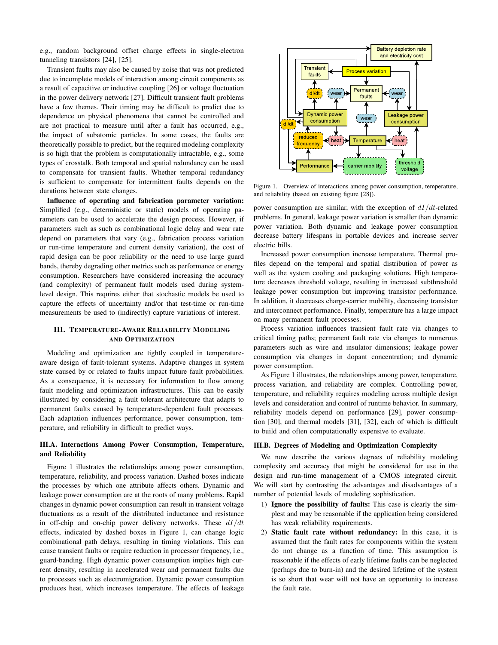e.g., random background offset charge effects in single-electron tunneling transistors [24], [25].

Transient faults may also be caused by noise that was not predicted due to incomplete models of interaction among circuit components as a result of capacitive or inductive coupling [26] or voltage fluctuation in the power delivery network [27]. Difficult transient fault problems have a few themes. Their timing may be difficult to predict due to dependence on physical phenomena that cannot be controlled and are not practical to measure until after a fault has occurred, e.g., the impact of subatomic particles. In some cases, the faults are theoretically possible to predict, but the required modeling complexity is so high that the problem is computationally intractable, e.g., some types of crosstalk. Both temporal and spatial redundancy can be used to compensate for transient faults. Whether temporal redundancy is sufficient to compensate for intermittent faults depends on the durations between state changes.

Influence of operating and fabrication parameter variation: Simplified (e.g., deterministic or static) models of operating parameters can be used to accelerate the design process. However, if parameters such as such as combinational logic delay and wear rate depend on parameters that vary (e.g., fabrication process variation or run-time temperature and current density variation), the cost of rapid design can be poor reliability or the need to use large guard bands, thereby degrading other metrics such as performance or energy consumption. Researchers have considered increasing the accuracy (and complexity) of permanent fault models used during systemlevel design. This requires either that stochastic models be used to capture the effects of uncertainty and/or that test-time or run-time measurements be used to (indirectly) capture variations of interest.

## III. TEMPERATURE-AWARE RELIABILITY MODELING AND OPTIMIZATION

Modeling and optimization are tightly coupled in temperatureaware design of fault-tolerant systems. Adaptive changes in system state caused by or related to faults impact future fault probabilities. As a consequence, it is necessary for information to flow among fault modeling and optimization infrastructures. This can be easily illustrated by considering a fault tolerant architecture that adapts to permanent faults caused by temperature-dependent fault processes. Each adaptation influences performance, power consumption, temperature, and reliability in difficult to predict ways.

## III.A. Interactions Among Power Consumption, Temperature, and Reliability

Figure 1 illustrates the relationships among power consumption, temperature, reliability, and process variation. Dashed boxes indicate the processes by which one attribute affects others. Dynamic and leakage power consumption are at the roots of many problems. Rapid changes in dynamic power consumption can result in transient voltage fluctuations as a result of the distributed inductance and resistance in off-chip and on-chip power delivery networks. These  $dI/dt$ effects, indicated by dashed boxes in Figure 1, can change logic combinational path delays, resulting in timing violations. This can cause transient faults or require reduction in processor frequency, i.e., guard-banding. High dynamic power consumption implies high current density, resulting in accelerated wear and permanent faults due to processes such as electromigration. Dynamic power consumption produces heat, which increases temperature. The effects of leakage



Figure 1. Overview of interactions among power consumption, temperature, and reliability (based on existing figure [28]).

power consumption are similar, with the exception of  $dI/dt$ -related problems. In general, leakage power variation is smaller than dynamic power variation. Both dynamic and leakage power consumption decrease battery lifespans in portable devices and increase server electric bills.

Increased power consumption increase temperature. Thermal profiles depend on the temporal and spatial distribution of power as well as the system cooling and packaging solutions. High temperature decreases threshold voltage, resulting in increased subthreshold leakage power consumption but improving transistor performance. In addition, it decreases charge-carrier mobility, decreasing transistor and interconnect performance. Finally, temperature has a large impact on many permanent fault processes.

Process variation influences transient fault rate via changes to critical timing paths; permanent fault rate via changes to numerous parameters such as wire and insulator dimensions; leakage power consumption via changes in dopant concentration; and dynamic power consumption.

As Figure 1 illustrates, the relationships among power, temperature, process variation, and reliability are complex. Controlling power, temperature, and reliability requires modeling across multiple design levels and consideration and control of runtime behavior. In summary, reliability models depend on performance [29], power consumption [30], and thermal models [31], [32], each of which is difficult to build and often computationally expensive to evaluate.

### III.B. Degrees of Modeling and Optimization Complexity

We now describe the various degrees of reliability modeling complexity and accuracy that might be considered for use in the design and run-time management of a CMOS integrated circuit. We will start by contrasting the advantages and disadvantages of a number of potential levels of modeling sophistication.

- 1) Ignore the possibility of faults: This case is clearly the simplest and may be reasonable if the application being considered has weak reliability requirements.
- 2) Static fault rate without redundancy: In this case, it is assumed that the fault rates for components within the system do not change as a function of time. This assumption is reasonable if the effects of early lifetime faults can be neglected (perhaps due to burn-in) and the desired lifetime of the system is so short that wear will not have an opportunity to increase the fault rate.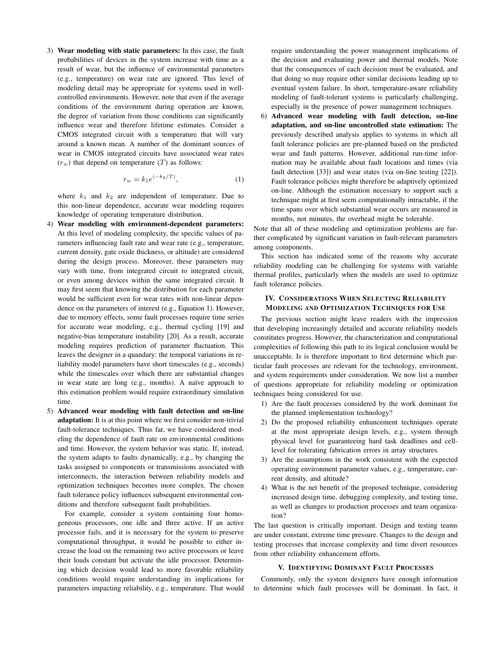3) Wear modeling with static parameters: In this case, the fault probabilities of devices in the system increase with time as a result of wear, but the influence of environmental parameters (e.g., temperature) on wear rate are ignored. This level of modeling detail may be appropriate for systems used in wellcontrolled environments. However, note that even if the average conditions of the environment during operation are known, the degree of variation from those conditions can significantly influence wear and therefore lifetime estimates. Consider a CMOS integrated circuit with a temperature that will vary around a known mean. A number of the dominant sources of wear in CMOS integrated circuits have associated wear rates  $(r_w)$  that depend on temperature  $(T)$  as follows:

$$
r_w = k_1 e^{(-k_2/T)}, \t\t(1)
$$

where  $k_1$  and  $k_2$  are independent of temperature. Due to this non-linear dependence, accurate wear modeling requires knowledge of operating temperature distribution.

- 4) Wear modeling with environment-dependent parameters: At this level of modeling complexity, the specific values of parameters influencing fault rate and wear rate (e.g., temperature, current density, gate oxide thickness, or altitude) are considered during the design process. Moreover, these parameters may vary with time, from integrated circuit to integrated circuit, or even among devices within the same integrated circuit. It may first seem that knowing the distribution for each parameter would be sufficient even for wear rates with non-linear dependence on the parameters of interest (e.g., Equation 1). However, due to memory effects, some fault processes require time series for accurate wear modeling, e.g., thermal cycling [19] and negative-bias temperature instability [20]. As a result, accurate modeling requires prediction of parameter fluctuation. This leaves the designer in a quandary: the temporal variations in reliability model parameters have short timescales (e.g., seconds) while the timescales over which there are substantial changes in wear state are long (e.g., months). A naïve approach to this estimation problem would require extraordinary simulation time.
- 5) Advanced wear modeling with fault detection and on-line adaptation: It is at this point where we first consider non-trivial fault-tolerance techniques. Thus far, we have considered modeling the dependence of fault rate on environmental conditions and time. However, the system behavior was static. If, instead, the system adapts to faults dynamically, e.g., by changing the tasks assigned to components or transmissions associated with interconnects, the interaction between reliability models and optimization techniques becomes more complex. The chosen fault tolerance policy influences subsequent environmental conditions and therefore subsequent fault probabilities.

For example, consider a system containing four homogeneous processors, one idle and three active. If an active processor fails, and it is necessary for the system to preserve computational throughput, it would be possible to either increase the load on the remaining two active processors or leave their loads constant but activate the idle processor. Determining which decision would lead to more favorable reliability conditions would require understanding its implications for parameters impacting reliability, e.g., temperature. That would require understanding the power management implications of the decision and evaluating power and thermal models. Note that the consequences of each decision must be evaluated, and that doing so may require other similar decisions leading up to eventual system failure. In short, temperature-aware reliability modeling of fault-tolerant systems is particularly challenging, especially in the presence of power management techniques.

6) Advanced wear modeling with fault detection, on-line adaptation, and on-line uncontrolled state estimation: The previously described analysis applies to systems in which all fault tolerance policies are pre-planned based on the predicted wear and fault patterns. However, additional run-time information may be available about fault locations and times (via fault detection [33]) and wear states (via on-line testing [22]). Fault tolerance policies might therefore be adaptively optimized on-line. Although the estimation necessary to support such a technique might at first seem computationally intractable, if the time spans over which substantial wear occurs are measured in months, not minutes, the overhead might be tolerable.

Note that all of these modeling and optimization problems are further complicated by significant variation in fault-relevant parameters among components.

This section has indicated some of the reasons why accurate reliability modeling can be challenging for systems with variable thermal profiles, particularly when the models are used to optimize fault tolerance policies.

## IV. CONSIDERATIONS WHEN SELECTING RELIABILITY MODELING AND OPTIMIZATION TECHNIQUES FOR USE

The previous section might leave readers with the impression that developing increasingly detailed and accurate reliability models constitutes progress. However, the characterization and computational complexities of following this path to its logical conclusion would be unacceptable. Is is therefore important to first determine which particular fault processes are relevant for the technology, environment, and system requirements under consideration. We now list a number of questions appropriate for reliability modeling or optimization techniques being considered for use.

- 1) Are the fault processes considered by the work dominant for the planned implementation technology?
- 2) Do the proposed reliability enhancement techniques operate at the most appropriate design levels, e.g., system through physical level for guaranteeing hard task deadlines and celllevel for tolerating fabrication errors in array structures.
- 3) Are the assumptions in the work consistent with the expected operating environment parameter values, e.g., temperature, current density, and altitude?
- 4) What is the net benefit of the proposed technique, considering increased design time, debugging complexity, and testing time, as well as changes to production processes and team organization?

The last question is critically important. Design and testing teams are under constant, extreme time pressure. Changes to the design and testing processes that increase complexity and time divert resources from other reliability enhancement efforts.

## V. IDENTIFYING DOMINANT FAULT PROCESSES

Commonly, only the system designers have enough information to determine which fault processes will be dominant. In fact, it